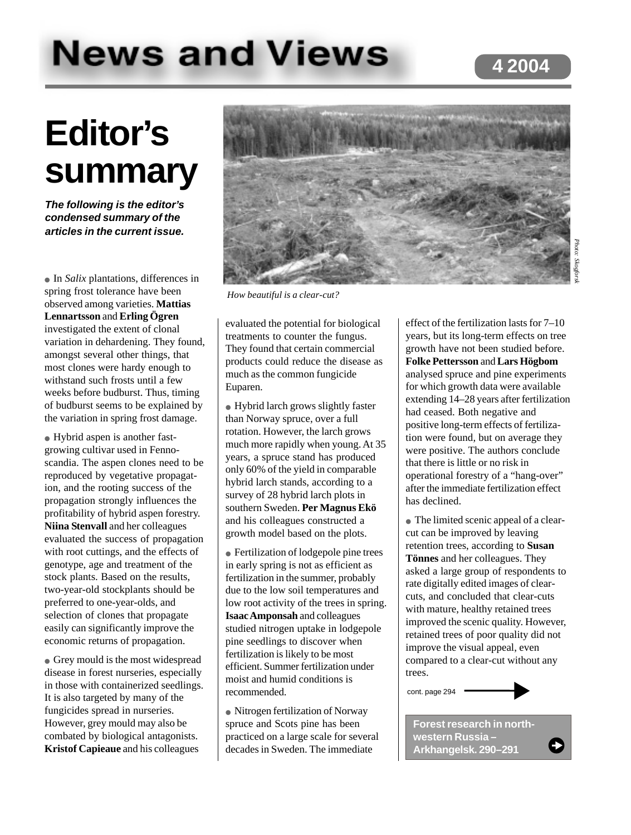## **4 2004**

# **News and Views**

## **Editor's summary**

**The following is the editor's condensed summary of the articles in the current issue.**

● In *Salix* plantations, differences in spring frost tolerance have been observed among varieties. **Mattias Lennartsson** and **Erling Ögren** investigated the extent of clonal variation in dehardening. They found, amongst several other things, that most clones were hardy enough to withstand such frosts until a few weeks before budburst. Thus, timing of budburst seems to be explained by the variation in spring frost damage.

● Hybrid aspen is another fastgrowing cultivar used in Fennoscandia. The aspen clones need to be reproduced by vegetative propagation, and the rooting success of the propagation strongly influences the profitability of hybrid aspen forestry. **Niina Stenvall** and her colleagues evaluated the success of propagation with root cuttings, and the effects of genotype, age and treatment of the stock plants. Based on the results, two-year-old stockplants should be preferred to one-year-olds, and selection of clones that propagate easily can significantly improve the economic returns of propagation.

● Grey mould is the most widespread disease in forest nurseries, especially in those with containerized seedlings. It is also targeted by many of the fungicides spread in nurseries. However, grey mould may also be combated by biological antagonists. **Kristof Capieaue** and his colleagues



*How beautiful is a clear-cut?*

evaluated the potential for biological treatments to counter the fungus. They found that certain commercial products could reduce the disease as much as the common fungicide Euparen.

• Hybrid larch grows slightly faster than Norway spruce, over a full rotation. However, the larch grows much more rapidly when young. At 35 years, a spruce stand has produced only 60% of the yield in comparable hybrid larch stands, according to a survey of 28 hybrid larch plots in southern Sweden. **Per Magnus Ekö** and his colleagues constructed a growth model based on the plots.

● Fertilization of lodgepole pine trees in early spring is not as efficient as fertilization in the summer, probably due to the low soil temperatures and low root activity of the trees in spring. **Isaac Amponsah** and colleagues studied nitrogen uptake in lodgepole pine seedlings to discover when fertilization is likely to be most efficient. Summer fertilization under moist and humid conditions is recommended.

● Nitrogen fertilization of Norway spruce and Scots pine has been practiced on a large scale for several decades in Sweden. The immediate

effect of the fertilization lasts for 7–10 years, but its long-term effects on tree growth have not been studied before. **Folke Pettersson** and **Lars Högbom** analysed spruce and pine experiments for which growth data were available extending 14–28 years after fertilization had ceased. Both negative and positive long-term effects of fertilization were found, but on average they were positive. The authors conclude that there is little or no risk in operational forestry of a "hang-over" after the immediate fertilization effect has declined.

● The limited scenic appeal of a clearcut can be improved by leaving retention trees, according to **Susan Tönnes** and her colleagues. They asked a large group of respondents to rate digitally edited images of clearcuts, and concluded that clear-cuts with mature, healthy retained trees improved the scenic quality. However, retained trees of poor quality did not improve the visual appeal, even compared to a clear-cut without any trees.

cont. page 294

**Forest research in northwestern Russia – Arkhangelsk. 290–291**

O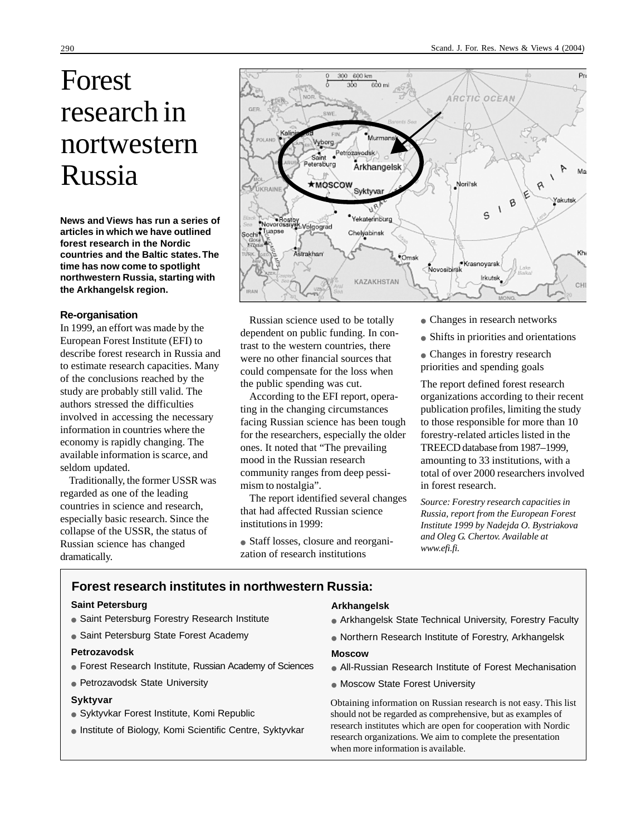## Forest research in nortwestern Russia

**News and Views has run a series of articles in which we have outlined forest research in the Nordic countries and the Baltic states. The time has now come to spotlight northwestern Russia, starting with the Arkhangelsk region.**

#### **Re-organisation**

In 1999, an effort was made by the European Forest Institute (EFI) to describe forest research in Russia and to estimate research capacities. Many of the conclusions reached by the study are probably still valid. The authors stressed the difficulties involved in accessing the necessary information in countries where the economy is rapidly changing. The available information is scarce, and seldom updated.

Traditionally, the former USSR was regarded as one of the leading countries in science and research, especially basic research. Since the collapse of the USSR, the status of Russian science has changed dramatically.



Russian science used to be totally dependent on public funding. In contrast to the western countries, there were no other financial sources that could compensate for the loss when the public spending was cut.

According to the EFI report, operating in the changing circumstances facing Russian science has been tough for the researchers, especially the older ones. It noted that "The prevailing mood in the Russian research community ranges from deep pessimism to nostalgia".

The report identified several changes that had affected Russian science institutions in 1999:

• Staff losses, closure and reorganization of research institutions

- Changes in research networks
- Shifts in priorities and orientations
- Changes in forestry research priorities and spending goals

The report defined forest research organizations according to their recent publication profiles, limiting the study to those responsible for more than 10 forestry-related articles listed in the TREECD database from 1987–1999, amounting to 33 institutions, with a total of over 2000 researchers involved in forest research.

*Source: Forestry research capacities in Russia, report from the European Forest Institute 1999 by Nadejda O. Bystriakova and Oleg G. Chertov. Available at www.efi.fi.*

#### **Forest research institutes in northwestern Russia:**

#### **Saint Petersburg**

- Saint Petersburg Forestry Research Institute
- Saint Petersburg State Forest Academy

#### **Petrozavodsk**

- Forest Research Institute, Russian Academy of Sciences
- Petrozavodsk State University

#### **Syktyvar**

- Syktyvkar Forest Institute, Komi Republic
- Institute of Biology, Komi Scientific Centre, Syktyvkar

#### **Arkhangelsk**

- Arkhangelsk State Technical University, Forestry Faculty
- Northern Research Institute of Forestry, Arkhangelsk

#### **Moscow**

- All-Russian Research Institute of Forest Mechanisation
- Moscow State Forest University

Obtaining information on Russian research is not easy. This list should not be regarded as comprehensive, but as examples of research institutes which are open for cooperation with Nordic research organizations. We aim to complete the presentation when more information is available.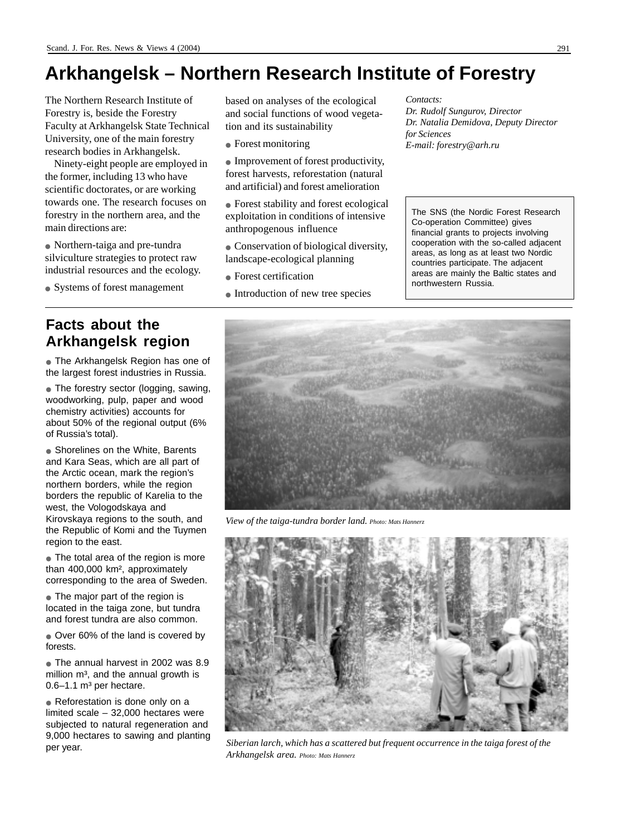## **Arkhangelsk – Northern Research Institute of Forestry**

The Northern Research Institute of Forestry is, beside the Forestry Faculty at Arkhangelsk State Technical University, one of the main forestry research bodies in Arkhangelsk.

Ninety-eight people are employed in the former, including 13 who have scientific doctorates, or are working towards one. The research focuses on forestry in the northern area, and the main directions are:

● Northern-taiga and pre-tundra silviculture strategies to protect raw industrial resources and the ecology.

• Systems of forest management

### **Facts about the Arkhangelsk region**

● The Arkhangelsk Region has one of the largest forest industries in Russia.

• The forestry sector (logging, sawing, woodworking, pulp, paper and wood chemistry activities) accounts for about 50% of the regional output (6% of Russia's total).

• Shorelines on the White, Barents and Kara Seas, which are all part of the Arctic ocean, mark the region's northern borders, while the region borders the republic of Karelia to the west, the Vologodskaya and Kirovskaya regions to the south, and the Republic of Komi and the Tuymen region to the east.

● The total area of the region is more than 400,000 km², approximately corresponding to the area of Sweden.

• The major part of the region is located in the taiga zone, but tundra and forest tundra are also common.

• Over 60% of the land is covered by forests.

● The annual harvest in 2002 was 8.9 million  $m<sup>3</sup>$ , and the annual growth is  $0.6-1.1$  m<sup>3</sup> per hectare.

• Reforestation is done only on a limited scale – 32,000 hectares were subjected to natural regeneration and 9,000 hectares to sawing and planting per year.

based on analyses of the ecological and social functions of wood vegetation and its sustainability

- Forest monitoring
- Improvement of forest productivity, forest harvests, reforestation (natural and artificial) and forest amelioration
- Forest stability and forest ecological exploitation in conditions of intensive anthropogenous influence
- Conservation of biological diversity, landscape-ecological planning
- Forest certification
- Introduction of new tree species

*Contacts: Dr. Rudolf Sungurov, Director Dr. Natalia Demidova, Deputy Director for Sciences E-mail: forestry@arh.ru*

The SNS (the Nordic Forest Research Co-operation Committee) gives financial grants to projects involving cooperation with the so-called adjacent areas, as long as at least two Nordic countries participate. The adjacent areas are mainly the Baltic states and northwestern Russia.



*View of the taiga-tundra border land. Photo: Mats Hannerz*



*Siberian larch, which has a scattered but frequent occurrence in the taiga forest of the Arkhangelsk area. Photo: Mats Hannerz*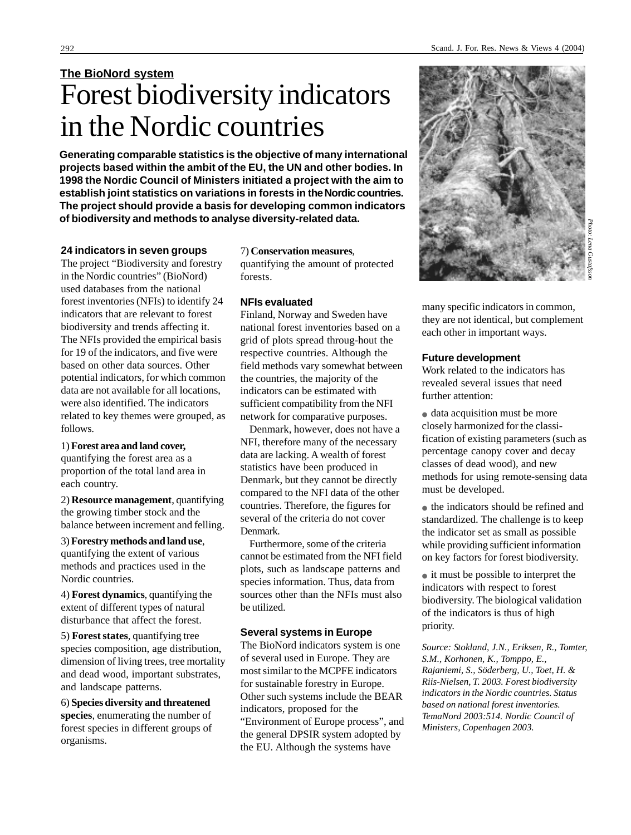**Generating comparable statistics is the objective of many international projects based within the ambit of the EU, the UN and other bodies. In 1998 the Nordic Council of Ministers initiated a project with the aim to establish joint statistics on variations in forests in the Nordic countries. The project should provide a basis for developing common indicators of biodiversity and methods to analyse diversity-related data.**

#### **24 indicators in seven groups**

The project "Biodiversity and forestry in the Nordic countries" (BioNord) used databases from the national forest inventories (NFIs) to identify 24 indicators that are relevant to forest biodiversity and trends affecting it. The NFIs provided the empirical basis for 19 of the indicators, and five were based on other data sources. Other potential indicators, for which common data are not available for all locations, were also identified. The indicators related to key themes were grouped, as follows.

1) **Forest area and land cover,** quantifying the forest area as a proportion of the total land area in each country.

2) **Resource management**, quantifying the growing timber stock and the balance between increment and felling.

3) **Forestry methods and land use**, quantifying the extent of various methods and practices used in the Nordic countries.

4) **Forest dynamics**, quantifying the extent of different types of natural disturbance that affect the forest.

5) **Forest states**, quantifying tree species composition, age distribution, dimension of living trees, tree mortality and dead wood, important substrates, and landscape patterns.

6) **Species diversity and threatened species**, enumerating the number of forest species in different groups of organisms.

7) **Conservation measures**, quantifying the amount of protected forests.

#### **NFIs evaluated**

Finland, Norway and Sweden have national forest inventories based on a grid of plots spread throug-hout the respective countries. Although the field methods vary somewhat between the countries, the majority of the indicators can be estimated with sufficient compatibility from the NFI network for comparative purposes.

Denmark, however, does not have a NFI, therefore many of the necessary data are lacking. A wealth of forest statistics have been produced in Denmark, but they cannot be directly compared to the NFI data of the other countries. Therefore, the figures for several of the criteria do not cover Denmark.

Furthermore, some of the criteria cannot be estimated from the NFI field plots, such as landscape patterns and species information. Thus, data from sources other than the NFIs must also be utilized.

#### **Several systems in Europe**

The BioNord indicators system is one of several used in Europe. They are most similar to the MCPFE indicators for sustainable forestry in Europe. Other such systems include the BEAR indicators, proposed for the "Environment of Europe process", and the general DPSIR system adopted by the EU. Although the systems have

many specific indicators in common, they are not identical, but complement each other in important ways.

#### **Future development**

Work related to the indicators has revealed several issues that need further attention:

• data acquisition must be more closely harmonized for the classification of existing parameters (such as percentage canopy cover and decay classes of dead wood), and new methods for using remote-sensing data must be developed.

● the indicators should be refined and standardized. The challenge is to keep the indicator set as small as possible while providing sufficient information on key factors for forest biodiversity.

● it must be possible to interpret the indicators with respect to forest biodiversity. The biological validation of the indicators is thus of high priority.

*Source: Stokland, J.N., Eriksen, R., Tomter, S.M., Korhonen, K., Tomppo, E., Rajaniemi, S., Söderberg, U., Toet, H. & Riis-Nielsen, T. 2003. Forest biodiversity indicators in the Nordic countries. Status based on national forest inventories. TemaNord 2003:514. Nordic Council of Ministers, Copenhagen 2003.*

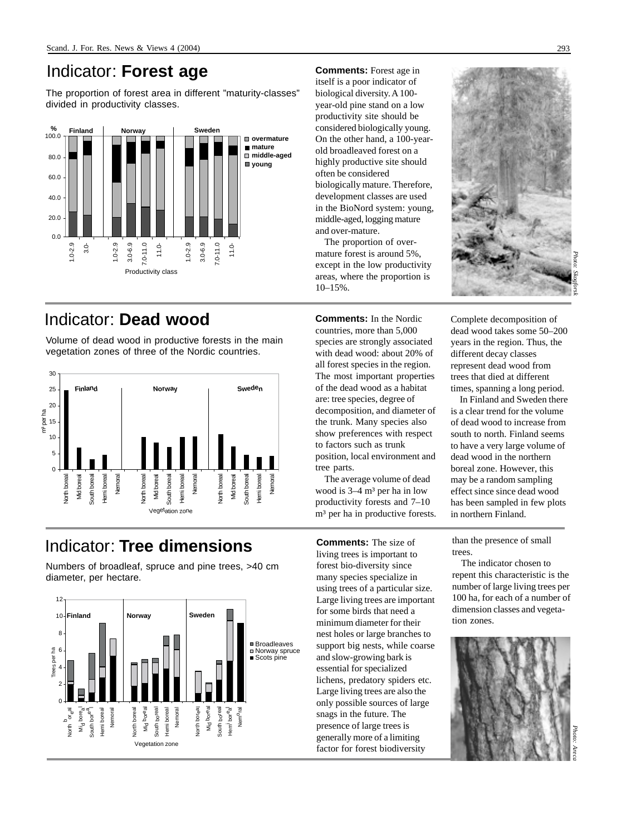### Indicator: **Forest age**

The proportion of forest area in different "maturity-classes" divided in productivity classes.



## Indicator: **Dead wood**

Volume of dead wood in productive forests in the main vegetation zones of three of the Nordic countries.



## Indicator: **Tree dimensions**

Numbers of broadleaf, spruce and pine trees, >40 cm diameter, per hectare.



**Comments:** Forest age in itself is a poor indicator of biological diversity. A 100 year-old pine stand on a low productivity site should be considered biologically young. On the other hand, a 100-yearold broadleaved forest on a highly productive site should often be considered biologically mature. Therefore, development classes are used in the BioNord system: young, middle-aged, logging mature and over-mature.

The proportion of overmature forest is around 5%, except in the low productivity areas, where the proportion is  $10-15%$ 

**Comments:** In the Nordic countries, more than 5,000 species are strongly associated with dead wood: about 20% of all forest species in the region. The most important properties of the dead wood as a habitat are: tree species, degree of decomposition, and diameter of the trunk. Many species also show preferences with respect to factors such as trunk position, local environment and tree parts.

The average volume of dead wood is  $3-4$  m<sup>3</sup> per ha in low productivity forests and 7–10 m<sup>3</sup> per ha in productive forests.

**Comments:** The size of living trees is important to forest bio-diversity since many species specialize in using trees of a particular size. Large living trees are important for some birds that need a minimum diameter for their nest holes or large branches to support big nests, while coarse and slow-growing bark is essential for specialized lichens, predatory spiders etc. Large living trees are also the only possible sources of large snags in the future. The presence of large trees is generally more of a limiting factor for forest biodiversity



*Photo: Skogforsk*

Complete decomposition of dead wood takes some 50–200 years in the region. Thus, the different decay classes represent dead wood from trees that died at different times, spanning a long period.

In Finland and Sweden there is a clear trend for the volume of dead wood to increase from south to north. Finland seems to have a very large volume of dead wood in the northern boreal zone. However, this may be a random sampling effect since since dead wood has been sampled in few plots in northern Finland.

than the presence of small trees.

The indicator chosen to repent this characteristic is the number of large living trees per 100 ha, for each of a number of dimension classes and vegetation zones.